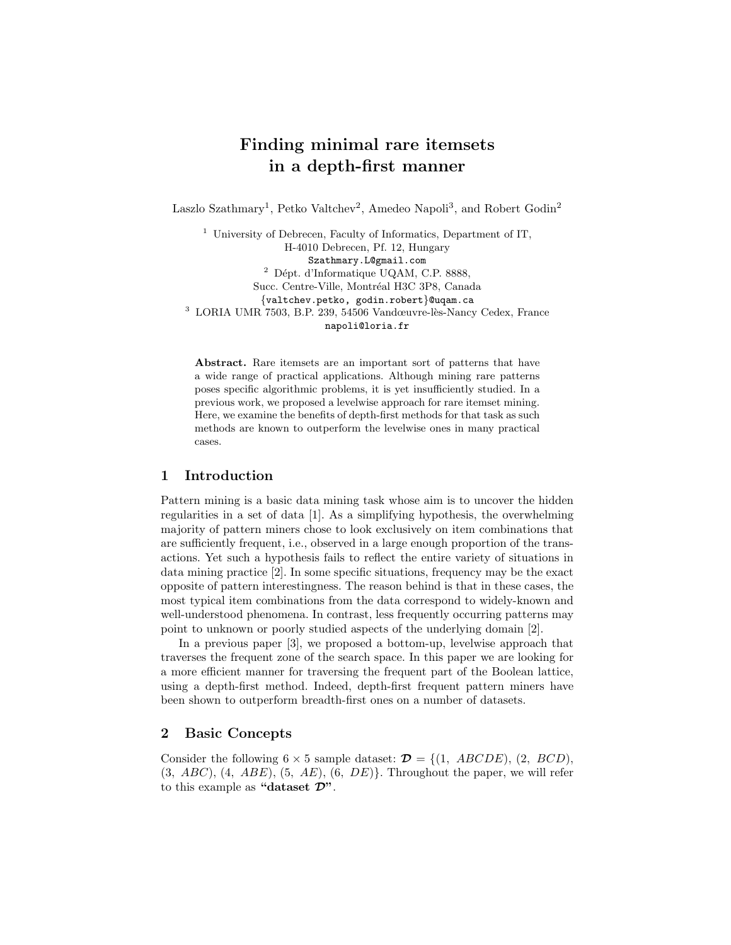# Finding minimal rare itemsets in a depth-first manner

Laszlo Szathmary<sup>1</sup>, Petko Valtchev<sup>2</sup>, Amedeo Napoli<sup>3</sup>, and Robert Godin<sup>2</sup>

<sup>1</sup> University of Debrecen, Faculty of Informatics, Department of IT, H-4010 Debrecen, Pf. 12, Hungary Szathmary.L@gmail.com  $2$  Dépt. d'Informatique UQAM, C.P. 8888, Succ. Centre-Ville, Montréal H3C 3P8, Canada {valtchev.petko, godin.robert}@uqam.ca  $3$  LORIA UMR 7503, B.P. 239, 54506 Vandœuvre-lès-Nancy Cedex, France napoli@loria.fr

Abstract. Rare itemsets are an important sort of patterns that have a wide range of practical applications. Although mining rare patterns poses specific algorithmic problems, it is yet insufficiently studied. In a previous work, we proposed a levelwise approach for rare itemset mining. Here, we examine the benefits of depth-first methods for that task as such methods are known to outperform the levelwise ones in many practical cases.

## 1 Introduction

Pattern mining is a basic data mining task whose aim is to uncover the hidden regularities in a set of data [1]. As a simplifying hypothesis, the overwhelming majority of pattern miners chose to look exclusively on item combinations that are sufficiently frequent, i.e., observed in a large enough proportion of the transactions. Yet such a hypothesis fails to reflect the entire variety of situations in data mining practice [2]. In some specific situations, frequency may be the exact opposite of pattern interestingness. The reason behind is that in these cases, the most typical item combinations from the data correspond to widely-known and well-understood phenomena. In contrast, less frequently occurring patterns may point to unknown or poorly studied aspects of the underlying domain [2].

In a previous paper [3], we proposed a bottom-up, levelwise approach that traverses the frequent zone of the search space. In this paper we are looking for a more efficient manner for traversing the frequent part of the Boolean lattice, using a depth-first method. Indeed, depth-first frequent pattern miners have been shown to outperform breadth-first ones on a number of datasets.

## 2 Basic Concepts

Consider the following  $6 \times 5$  sample dataset:  $\mathcal{D} = \{(1, ABCDE), (2, BCD)\}$ ,  $(3, ABC), (4, ABE), (5, AE), (6, DE)$ . Throughout the paper, we will refer to this example as "dataset  $\mathcal{D}$ ".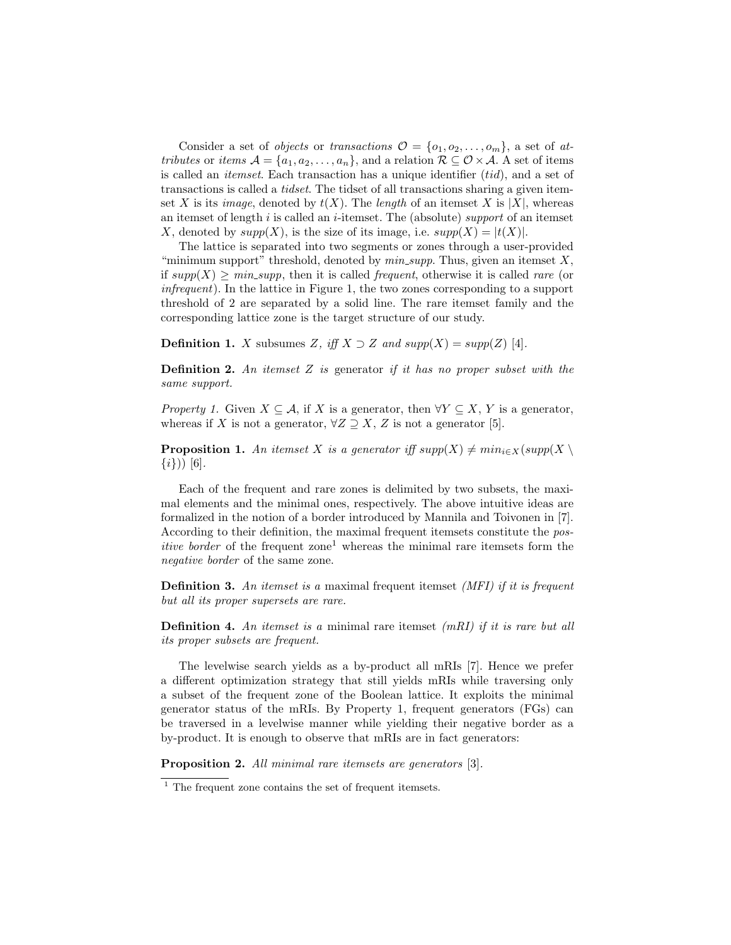Consider a set of *objects* or transactions  $\mathcal{O} = \{o_1, o_2, \ldots, o_m\}$ , a set of attributes or items  $A = \{a_1, a_2, \ldots, a_n\}$ , and a relation  $\mathcal{R} \subseteq \mathcal{O} \times \mathcal{A}$ . A set of items is called an *itemset*. Each transaction has a unique identifier  $(tid)$ , and a set of transactions is called a tidset. The tidset of all transactions sharing a given itemset X is its *image*, denoted by  $t(X)$ . The *length* of an itemset X is |X|, whereas an itemset of length  $i$  is called an  $i$ -itemset. The (absolute) support of an itemset X, denoted by  $supp(X)$ , is the size of its image, i.e.  $supp(X) = |t(X)|$ .

The lattice is separated into two segments or zones through a user-provided "minimum support" threshold, denoted by  $min\_supp$ . Thus, given an itemset X, if  $supp(X) \geq min\_supp$ , then it is called *frequent*, otherwise it is called *rare* (or infrequent). In the lattice in Figure 1, the two zones corresponding to a support threshold of 2 are separated by a solid line. The rare itemset family and the corresponding lattice zone is the target structure of our study.

**Definition 1.** X subsumes Z, iff  $X \supset Z$  and  $supp(X) = supp(Z)$  [4].

**Definition 2.** An itemset  $Z$  is generator if it has no proper subset with the same support.

*Property 1.* Given  $X \subseteq \mathcal{A}$ , if X is a generator, then  $\forall Y \subseteq X$ , Y is a generator, whereas if X is not a generator,  $\forall Z \supseteq X$ , Z is not a generator [5].

**Proposition 1.** An itemset X is a generator iff  $supp(X) \neq min_{i \in X}(supp(X) \setminus$  $\{i\})$  [6].

Each of the frequent and rare zones is delimited by two subsets, the maximal elements and the minimal ones, respectively. The above intuitive ideas are formalized in the notion of a border introduced by Mannila and Toivonen in [7]. According to their definition, the maximal frequent itemsets constitute the pos*itive border* of the frequent zone<sup>1</sup> whereas the minimal rare itemsets form the negative border of the same zone.

**Definition 3.** An itemset is a maximal frequent itemset *(MFI)* if it is frequent but all its proper supersets are rare.

**Definition 4.** An itemset is a minimal rare itemset  $(mRI)$  if it is rare but all its proper subsets are frequent.

The levelwise search yields as a by-product all mRIs [7]. Hence we prefer a different optimization strategy that still yields mRIs while traversing only a subset of the frequent zone of the Boolean lattice. It exploits the minimal generator status of the mRIs. By Property 1, frequent generators (FGs) can be traversed in a levelwise manner while yielding their negative border as a by-product. It is enough to observe that mRIs are in fact generators:

Proposition 2. All minimal rare itemsets are generators [3].

 $1$  The frequent zone contains the set of frequent itemsets.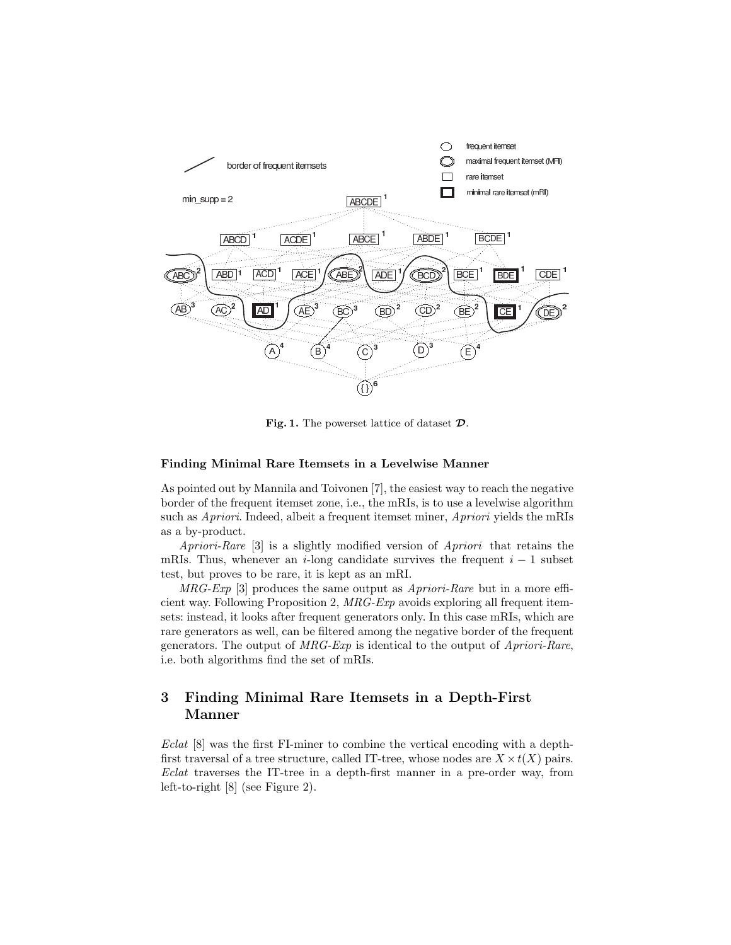

Fig. 1. The powerset lattice of dataset  $\mathcal{D}$ .

#### Finding Minimal Rare Itemsets in a Levelwise Manner

As pointed out by Mannila and Toivonen [7], the easiest way to reach the negative border of the frequent itemset zone, i.e., the mRIs, is to use a levelwise algorithm such as Apriori. Indeed, albeit a frequent itemset miner, Apriori yields the mRIs as a by-product.

Apriori-Rare [3] is a slightly modified version of Apriori that retains the mRIs. Thus, whenever an i-long candidate survives the frequent  $i - 1$  subset test, but proves to be rare, it is kept as an mRI.

 $MRG-Exp$  [3] produces the same output as  $A priori-Rare$  but in a more efficient way. Following Proposition 2, MRG-Exp avoids exploring all frequent itemsets: instead, it looks after frequent generators only. In this case mRIs, which are rare generators as well, can be filtered among the negative border of the frequent generators. The output of  $MRG-Exp$  is identical to the output of  $A priori-Rare$ , i.e. both algorithms find the set of mRIs.

# 3 Finding Minimal Rare Itemsets in a Depth-First Manner

Eclat [8] was the first FI-miner to combine the vertical encoding with a depthfirst traversal of a tree structure, called IT-tree, whose nodes are  $X \times t(X)$  pairs. Eclat traverses the IT-tree in a depth-first manner in a pre-order way, from left-to-right [8] (see Figure 2).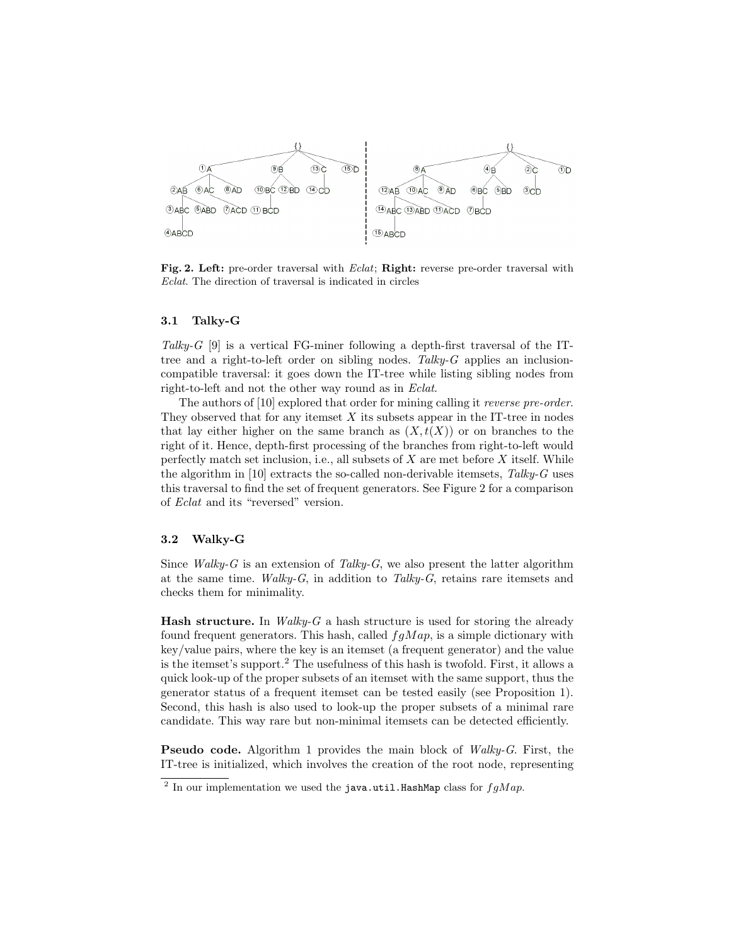

Fig. 2. Left: pre-order traversal with Eclat; Right: reverse pre-order traversal with Eclat. The direction of traversal is indicated in circles

#### 3.1 Talky-G

Talky-G  $[9]$  is a vertical FG-miner following a depth-first traversal of the ITtree and a right-to-left order on sibling nodes. Talky- $G$  applies an inclusioncompatible traversal: it goes down the IT-tree while listing sibling nodes from right-to-left and not the other way round as in Eclat.

The authors of [10] explored that order for mining calling it *reverse pre-order*. They observed that for any itemset  $X$  its subsets appear in the IT-tree in nodes that lay either higher on the same branch as  $(X, t(X))$  or on branches to the right of it. Hence, depth-first processing of the branches from right-to-left would perfectly match set inclusion, i.e., all subsets of  $X$  are met before  $X$  itself. While the algorithm in  $[10]$  extracts the so-called non-derivable itemsets, Talky-G uses this traversal to find the set of frequent generators. See Figure 2 for a comparison of Eclat and its "reversed" version.

### 3.2 Walky-G

Since *Walky-G* is an extension of *Talky-G*, we also present the latter algorithm at the same time. Walky-G, in addition to Talky-G, retains rare itemsets and checks them for minimality.

**Hash structure.** In *Walky-G* a hash structure is used for storing the already found frequent generators. This hash, called  $fgMap$ , is a simple dictionary with key/value pairs, where the key is an itemset (a frequent generator) and the value is the itemset's support.<sup>2</sup> The usefulness of this hash is twofold. First, it allows a quick look-up of the proper subsets of an itemset with the same support, thus the generator status of a frequent itemset can be tested easily (see Proposition 1). Second, this hash is also used to look-up the proper subsets of a minimal rare candidate. This way rare but non-minimal itemsets can be detected efficiently.

Pseudo code. Algorithm 1 provides the main block of Walky-G. First, the IT-tree is initialized, which involves the creation of the root node, representing

<sup>&</sup>lt;sup>2</sup> In our implementation we used the java.util.HashMap class for  $fgMap$ .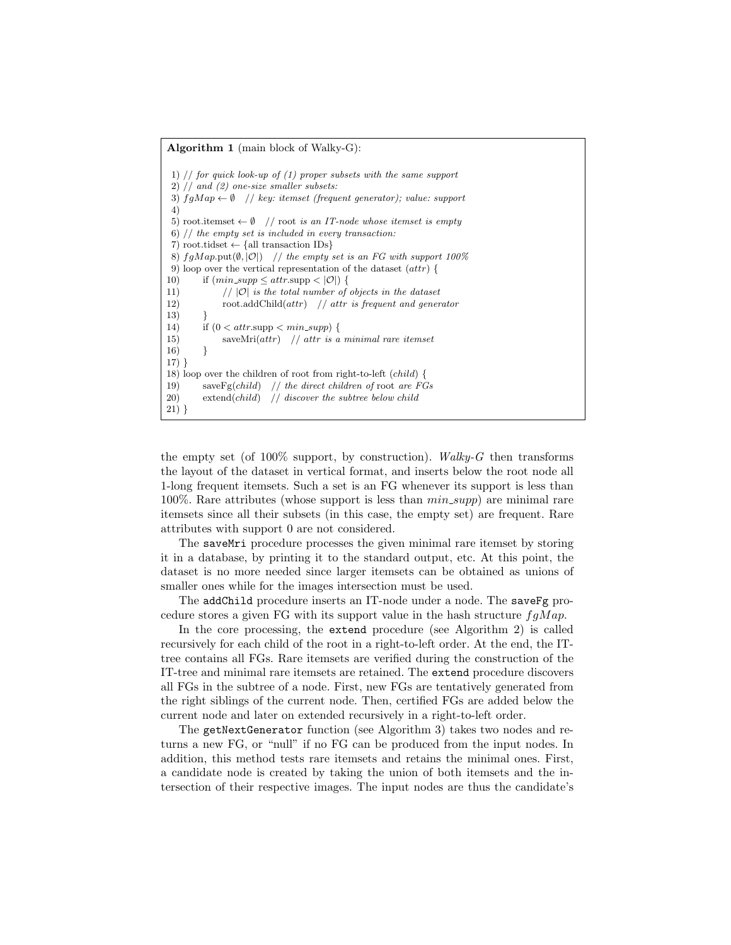#### Algorithm 1 (main block of Walky-G):

1)  $//$  for quick look-up of  $(1)$  proper subsets with the same support 2) // and (2) one-size smaller subsets: 3)  $fgMap \leftarrow \emptyset$  // key: itemset (frequent generator); value: support 4) 5) root.itemset  $\leftarrow \emptyset$  // root is an IT-node whose itemset is empty 6) // the empty set is included in every transaction: 7) root.tidset  $\leftarrow$  {all transaction IDs} 8)  $fgMap.\text{put}(\emptyset, |O|)$  // the empty set is an FG with support 100% 9) loop over the vertical representation of the dataset (attr) { 10) if  $(min\_supp \leq attr.\text{supp} < |\mathcal{O}|)$ 11)  $// |O|$  is the total number of objects in the dataset 12) root.addChild $(attr)$  // attr is frequent and generator 13) } 14) if  $(0 < \text{attr}.\text{supp} < \min\text{supp})$  { 15) saveMri $(attr)$  // attr is a minimal rare itemset  $16)$ 17) } 18) loop over the children of root from right-to-left (child) { 19) save $\text{Fg}(child)$  // the direct children of root are FGs 20) extend(child)  $\frac{1}{3}$  discover the subtree below child 21) }

the empty set (of  $100\%$  support, by construction). Walky-G then transforms the layout of the dataset in vertical format, and inserts below the root node all 1-long frequent itemsets. Such a set is an FG whenever its support is less than 100%. Rare attributes (whose support is less than  $min\_supp$ ) are minimal rare itemsets since all their subsets (in this case, the empty set) are frequent. Rare attributes with support 0 are not considered.

The saveMri procedure processes the given minimal rare itemset by storing it in a database, by printing it to the standard output, etc. At this point, the dataset is no more needed since larger itemsets can be obtained as unions of smaller ones while for the images intersection must be used.

The addChild procedure inserts an IT-node under a node. The saveFg procedure stores a given FG with its support value in the hash structure  $fgMap$ .

In the core processing, the extend procedure (see Algorithm 2) is called recursively for each child of the root in a right-to-left order. At the end, the ITtree contains all FGs. Rare itemsets are verified during the construction of the IT-tree and minimal rare itemsets are retained. The extend procedure discovers all FGs in the subtree of a node. First, new FGs are tentatively generated from the right siblings of the current node. Then, certified FGs are added below the current node and later on extended recursively in a right-to-left order.

The getNextGenerator function (see Algorithm 3) takes two nodes and returns a new FG, or "null" if no FG can be produced from the input nodes. In addition, this method tests rare itemsets and retains the minimal ones. First, a candidate node is created by taking the union of both itemsets and the intersection of their respective images. The input nodes are thus the candidate's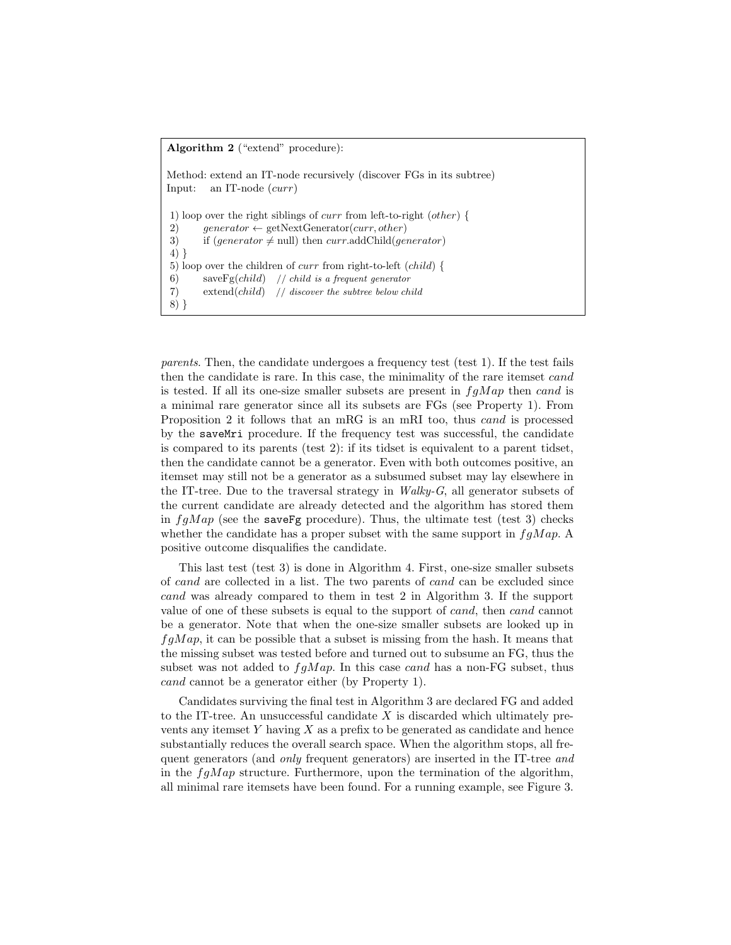#### Algorithm 2 ("extend" procedure):

Method: extend an IT-node recursively (discover FGs in its subtree) Input: an IT-node (curr) 1) loop over the right siblings of curr from left-to-right (other) { 2) generator  $\leftarrow$  getNextGenerator(curr, other) 3) if  $(generator \neq null)$  then curr.addChild(generator) 4) } 5) loop over the children of curr from right-to-left (child) { 6) save $\text{Fg}(child)$  // child is a frequent generator 7) extend(child) // discover the subtree below child 8) }

parents. Then, the candidate undergoes a frequency test (test 1). If the test fails then the candidate is rare. In this case, the minimality of the rare itemset cand is tested. If all its one-size smaller subsets are present in  $fqMap$  then cand is a minimal rare generator since all its subsets are FGs (see Property 1). From Proposition 2 it follows that an mRG is an mRI too, thus cand is processed by the saveMri procedure. If the frequency test was successful, the candidate is compared to its parents (test 2): if its tidset is equivalent to a parent tidset, then the candidate cannot be a generator. Even with both outcomes positive, an itemset may still not be a generator as a subsumed subset may lay elsewhere in the IT-tree. Due to the traversal strategy in  $Walky-G$ , all generator subsets of the current candidate are already detected and the algorithm has stored them in  $fqMap$  (see the saveFg procedure). Thus, the ultimate test (test 3) checks whether the candidate has a proper subset with the same support in  $fgMap$ . positive outcome disqualifies the candidate.

This last test (test 3) is done in Algorithm 4. First, one-size smaller subsets of cand are collected in a list. The two parents of cand can be excluded since cand was already compared to them in test 2 in Algorithm 3. If the support value of one of these subsets is equal to the support of cand, then cand cannot be a generator. Note that when the one-size smaller subsets are looked up in  $fqMap$ , it can be possible that a subset is missing from the hash. It means that the missing subset was tested before and turned out to subsume an FG, thus the subset was not added to  $fqMap$ . In this case cand has a non-FG subset, thus cand cannot be a generator either (by Property 1).

Candidates surviving the final test in Algorithm 3 are declared FG and added to the IT-tree. An unsuccessful candidate  $X$  is discarded which ultimately prevents any itemset  $Y$  having  $X$  as a prefix to be generated as candidate and hence substantially reduces the overall search space. When the algorithm stops, all frequent generators (and only frequent generators) are inserted in the IT-tree and in the  $fgMap$  structure. Furthermore, upon the termination of the algorithm, all minimal rare itemsets have been found. For a running example, see Figure 3.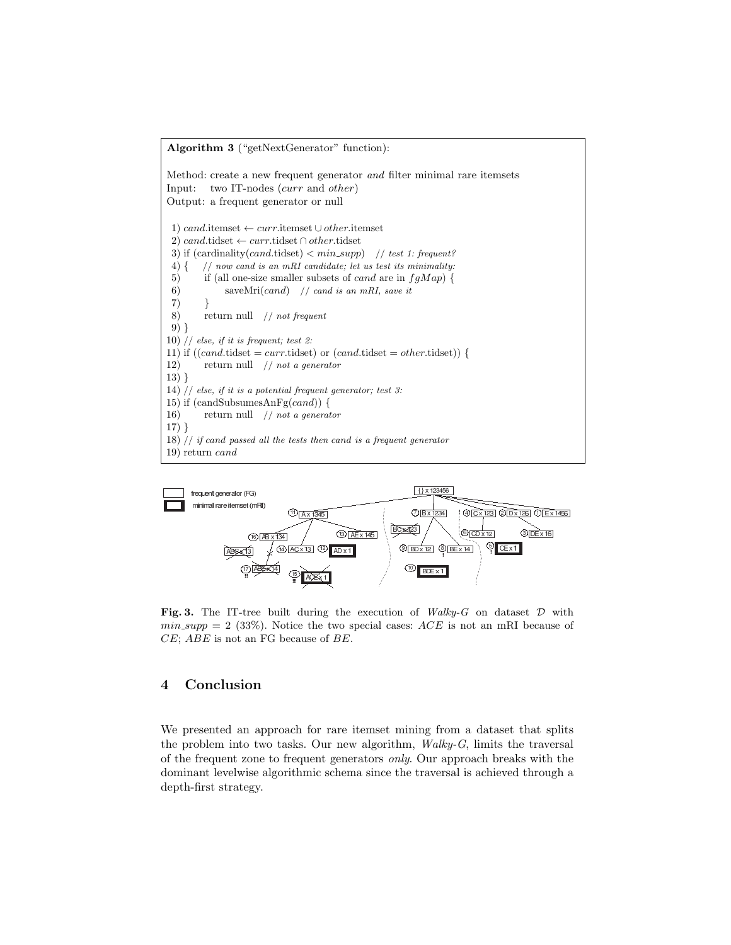



Fig. 3. The IT-tree built during the execution of  $Walky-G$  on dataset  $D$  with  $min\_supp = 2$  (33%). Notice the two special cases:  $ACE$  is not an mRI because of CE; ABE is not an FG because of BE.

# 4 Conclusion

We presented an approach for rare itemset mining from a dataset that splits the problem into two tasks. Our new algorithm,  $Walky-G$ , limits the traversal of the frequent zone to frequent generators only. Our approach breaks with the dominant levelwise algorithmic schema since the traversal is achieved through a depth-first strategy.